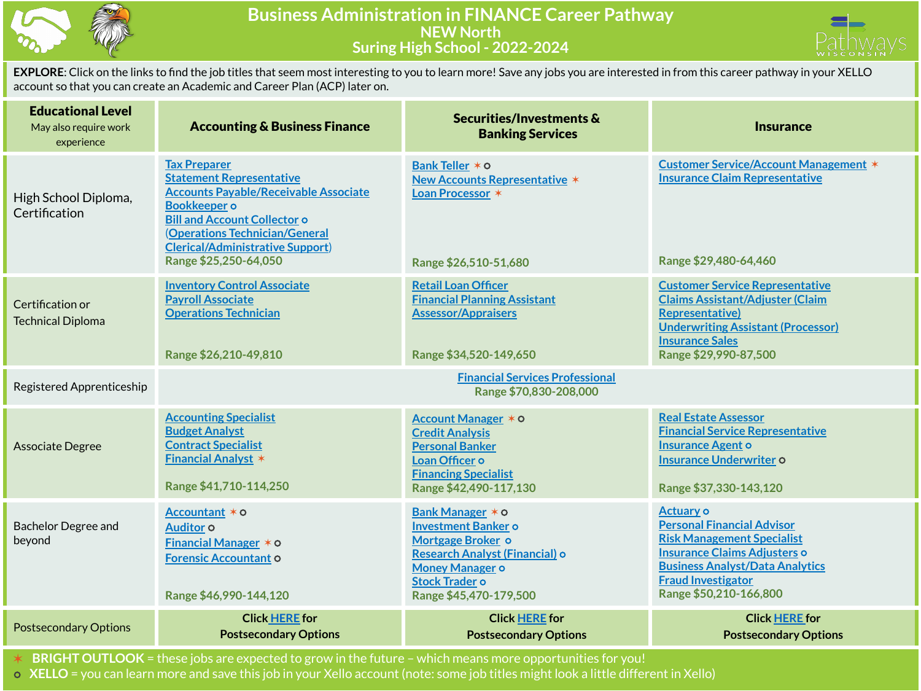



**EXPLORE**: Click on the links to find the job titles that seem most interesting to you to learn more! Save any jobs you are interested in from this career pathway in your XELLO account so that you can create an Academic and Career Plan (ACP) later on.

| <b>Educational Level</b><br>May also require work<br>experience | <b>Accounting &amp; Business Finance</b>                                                                                                                                                                                                                                   | Securities/Investments &<br><b>Banking Services</b>                                                                                                                                | <b>Insurance</b>                                                                                                                                                                                                            |  |  |
|-----------------------------------------------------------------|----------------------------------------------------------------------------------------------------------------------------------------------------------------------------------------------------------------------------------------------------------------------------|------------------------------------------------------------------------------------------------------------------------------------------------------------------------------------|-----------------------------------------------------------------------------------------------------------------------------------------------------------------------------------------------------------------------------|--|--|
| High School Diploma,<br>Certification                           | <b>Tax Preparer</b><br><b>Statement Representative</b><br><b>Accounts Payable/Receivable Associate</b><br><b>Bookkeeper</b> o<br><b>Bill and Account Collector o</b><br>(Operations Technician/General<br><b>Clerical/Administrative Support)</b><br>Range \$25,250-64,050 | Bank Teller * 0<br><b>New Accounts Representative *</b><br>Loan Processor *<br>Range \$26,510-51,680                                                                               | <b>Customer Service/Account Management *</b><br><b>Insurance Claim Representative</b><br>Range \$29,480-64,460                                                                                                              |  |  |
| Certification or<br><b>Technical Diploma</b>                    | <b>Inventory Control Associate</b><br><b>Payroll Associate</b><br><b>Operations Technician</b><br>Range \$26,210-49,810                                                                                                                                                    | <b>Retail Loan Officer</b><br><b>Financial Planning Assistant</b><br><b>Assessor/Appraisers</b><br>Range \$34,520-149,650                                                          | <b>Customer Service Representative</b><br><b>Claims Assistant/Adjuster (Claim</b><br><b>Representative)</b><br><b>Underwriting Assistant (Processor)</b><br><b>Insurance Sales</b><br>Range \$29,990-87,500                 |  |  |
| Registered Apprenticeship                                       | <b>Financial Services Professional</b><br>Range \$70,830-208,000                                                                                                                                                                                                           |                                                                                                                                                                                    |                                                                                                                                                                                                                             |  |  |
| Associate Degree                                                | <b>Accounting Specialist</b><br><b>Budget Analyst</b><br><b>Contract Specialist</b><br><b>Financial Analyst *</b><br>Range \$41,710-114,250                                                                                                                                | Account Manager * 0<br><b>Credit Analysis</b><br><b>Personal Banker</b><br>Loan Officer o<br><b>Financing Specialist</b><br>Range \$42,490-117,130                                 | <b>Real Estate Assessor</b><br><b>Financial Service Representative</b><br><b>Insurance Agent o</b><br><b>Insurance Underwriter o</b><br>Range \$37,330-143,120                                                              |  |  |
| <b>Bachelor Degree and</b><br>beyond                            | Accountant * o<br>Auditor <sub>o</sub><br><b>Financial Manager <math>*</math> <math>\circ</math></b><br><b>Forensic Accountant O</b><br>Range \$46,990-144,120                                                                                                             | Bank Manager * 0<br><b>Investment Banker o</b><br>Mortgage Broker o<br>Research Analyst (Financial) o<br><b>Money Manager o</b><br><b>Stock Trader o</b><br>Range \$45,470-179,500 | <b>Actuary o</b><br><b>Personal Financial Advisor</b><br><b>Risk Management Specialist</b><br>Insurance Claims Adjusters o<br><b>Business Analyst/Data Analytics</b><br><b>Fraud Investigator</b><br>Range \$50,210-166,800 |  |  |
| <b>Postsecondary Options</b>                                    | <b>Click HERE</b> for<br><b>Postsecondary Options</b>                                                                                                                                                                                                                      | <b>Click HERE for</b><br><b>Postsecondary Options</b>                                                                                                                              | <b>Click HERE for</b><br><b>Postsecondary Options</b>                                                                                                                                                                       |  |  |

✶ **BRIGHT OUTLOOK** = these jobs are expected to grow in the future – which means more opportunities for you!

⭘ **XELLO** = you can learn more and save this job in your Xello account (note: some job titles might look a little different in Xello)